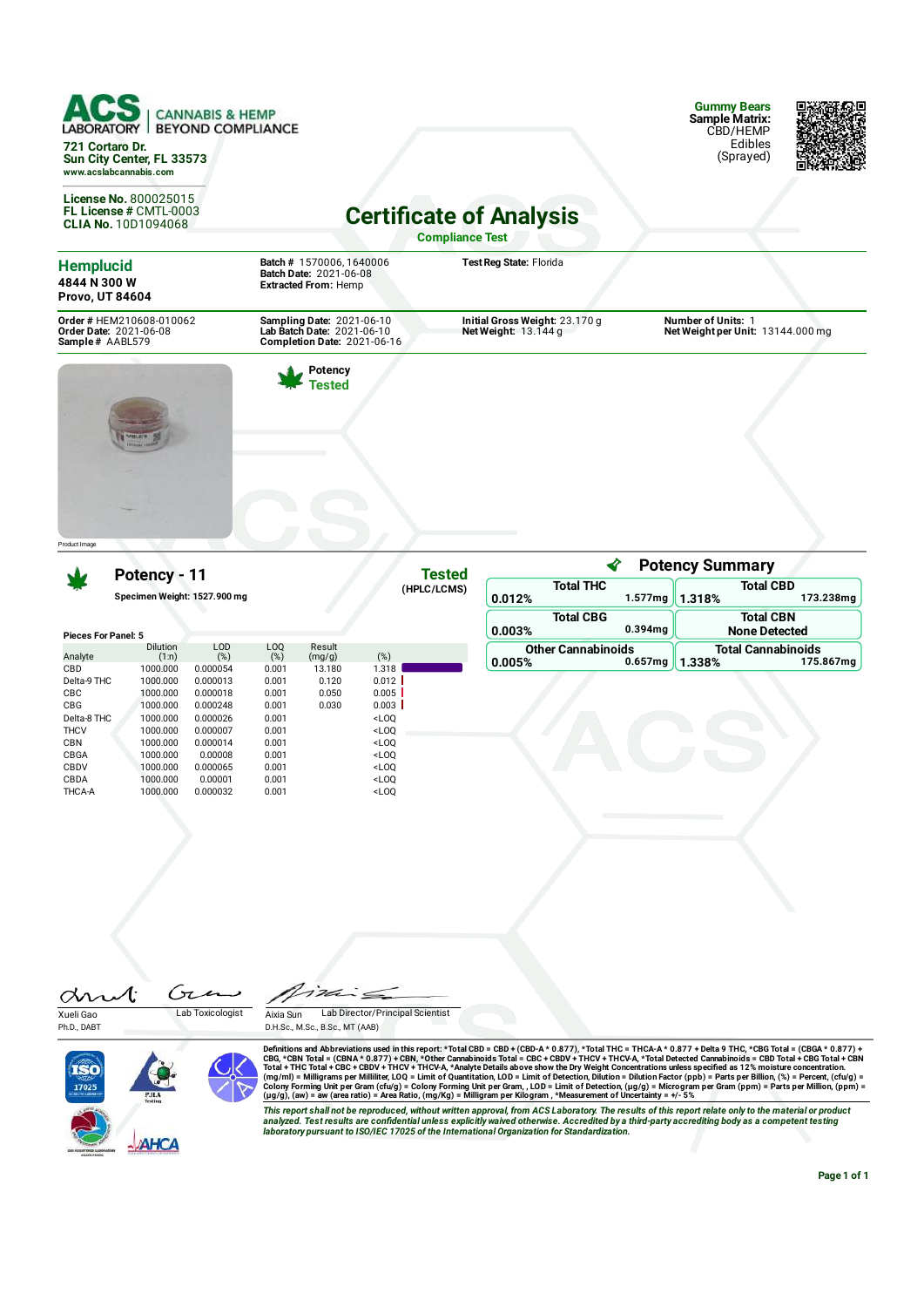| <b>CANNABIS &amp; HEMP</b><br><b>BEYOND COMPLIANCE</b><br><b>LABORATORY</b><br>721 Cortaro Dr.<br>Sun City Center, FL 33573<br>www.acslabcannabis.com<br>License No. 800025015<br>FL License # CMTL-0003<br><b>CLIA No. 10D1094068</b> |                                                                                               | <b>Certificate of Analysis</b>                         | <b>Gummy Bears</b><br><b>Sample Matrix:</b><br>CBD/HEMP<br>Edibles<br>(Sprayed) |  |
|----------------------------------------------------------------------------------------------------------------------------------------------------------------------------------------------------------------------------------------|-----------------------------------------------------------------------------------------------|--------------------------------------------------------|---------------------------------------------------------------------------------|--|
|                                                                                                                                                                                                                                        |                                                                                               | <b>Compliance Test</b>                                 |                                                                                 |  |
| <b>Hemplucid</b><br>4844 N 300 W<br>Provo, UT 84604                                                                                                                                                                                    | Batch # 1570006, 1640006<br>Batch Date: 2021-06-08<br><b>Extracted From: Hemp</b>             | Test Reg State: Florida                                |                                                                                 |  |
| Order # HEM210608-010062<br>Order Date: 2021-06-08<br>Sample # AABL579                                                                                                                                                                 | Sampling Date: 2021-06-10<br>Lab Batch Date: 2021-06-10<br><b>Completion Date: 2021-06-16</b> | Initial Gross Weight: 23.170 g<br>Net Weight: 13.144 g | <b>Number of Units: 1</b><br>Net Weight per Unit: 13144.000 mg                  |  |
| <b>LASH SYS</b><br>Product I mage                                                                                                                                                                                                      | Potency<br>'ested                                                                             |                                                        |                                                                                 |  |

**Tested (HPLC/LCMS)**

**Potency - 11**

**Specimen Weight: 1527.900 mg**

|             | <b>Pieces For Panel: 5</b> |               |                       |                  |         |  |  |  |
|-------------|----------------------------|---------------|-----------------------|------------------|---------|--|--|--|
| Analyte     | Dilution<br>(1:n)          | LOD<br>$(\%)$ | L <sub>0</sub><br>(%) | Result<br>(mg/g) | (%)     |  |  |  |
|             |                            |               |                       |                  |         |  |  |  |
| CBD         | 1000.000                   | 0.000054      | 0.001                 | 13.180           | 1.318   |  |  |  |
| Delta-9 THC | 1000.000                   | 0.000013      | 0.001                 | 0.120            | $0.012$ |  |  |  |
| CBC         | 1000.000                   | 0.000018      | 0.001                 | 0.050            | 0.005   |  |  |  |
| CBG         | 1000.000                   | 0.000248      | 0.001                 | 0.030            | 0.003   |  |  |  |
| Delta-8 THC | 1000.000                   | 0.000026      | 0.001                 |                  | $<$ LOO |  |  |  |
| <b>THCV</b> | 1000.000                   | 0.000007      | 0.001                 |                  | $<$ LOO |  |  |  |
| <b>CBN</b>  | 1000.000                   | 0.000014      | 0.001                 |                  | $<$ LOO |  |  |  |
| CBGA        | 1000.000                   | 0.00008       | 0.001                 |                  | $<$ LOO |  |  |  |
| CBDV        | 1000.000                   | 0.000065      | 0.001                 |                  | $<$ LOO |  |  |  |
| CBDA        | 1000.000                   | 0.00001       | 0.001                 |                  | $<$ LOO |  |  |  |
| THCA-A      | 1000.000                   | 0.000032      | 0.001                 |                  | $<$ LOO |  |  |  |

| <b>Potency Summary</b>    |                  |                     |                           |                      |  |
|---------------------------|------------------|---------------------|---------------------------|----------------------|--|
| <b>Total THC</b>          |                  |                     | <b>Total CBD</b>          |                      |  |
| 0.012%                    |                  | 1.577mg             | 1.318%                    | 173.238mg            |  |
|                           | <b>Total CBG</b> |                     |                           | <b>Total CBN</b>     |  |
| 0.003%                    |                  | $0.394$ ma          |                           | <b>None Detected</b> |  |
| <b>Other Cannabinoids</b> |                  |                     | <b>Total Cannabinoids</b> |                      |  |
| 0.005%                    |                  | 0.657 <sub>mq</sub> | 1.338%                    | 175.867mg            |  |

Gia drut Xueli Gao Lab Toxicologist

Ph.D., DABT



 $722$  $\dot{=}$ 

Aixia Sun Lab Director/Principal Scientist D.H.Sc., M.Sc., B.Sc., MT (AAB)

Definitions and Abbreviations used in this report: \*Total CBD = CBD + (CBD-A \* 0.877), \*Total THC = THCA-A \* 0.877) + Delta 9 THC, \*CBG Total = (CBGA \* 0.877) +<br>CBG, \*CBN Total = (CBNA \* 0.877) + CBN, \*Other Cannabinoids T

This report shall not be reproduced, without written approval, from ACS Laboratory. The results of this report relate only to the material or product<br>analyzed. Test results are confidential unless explicitly waived otherwi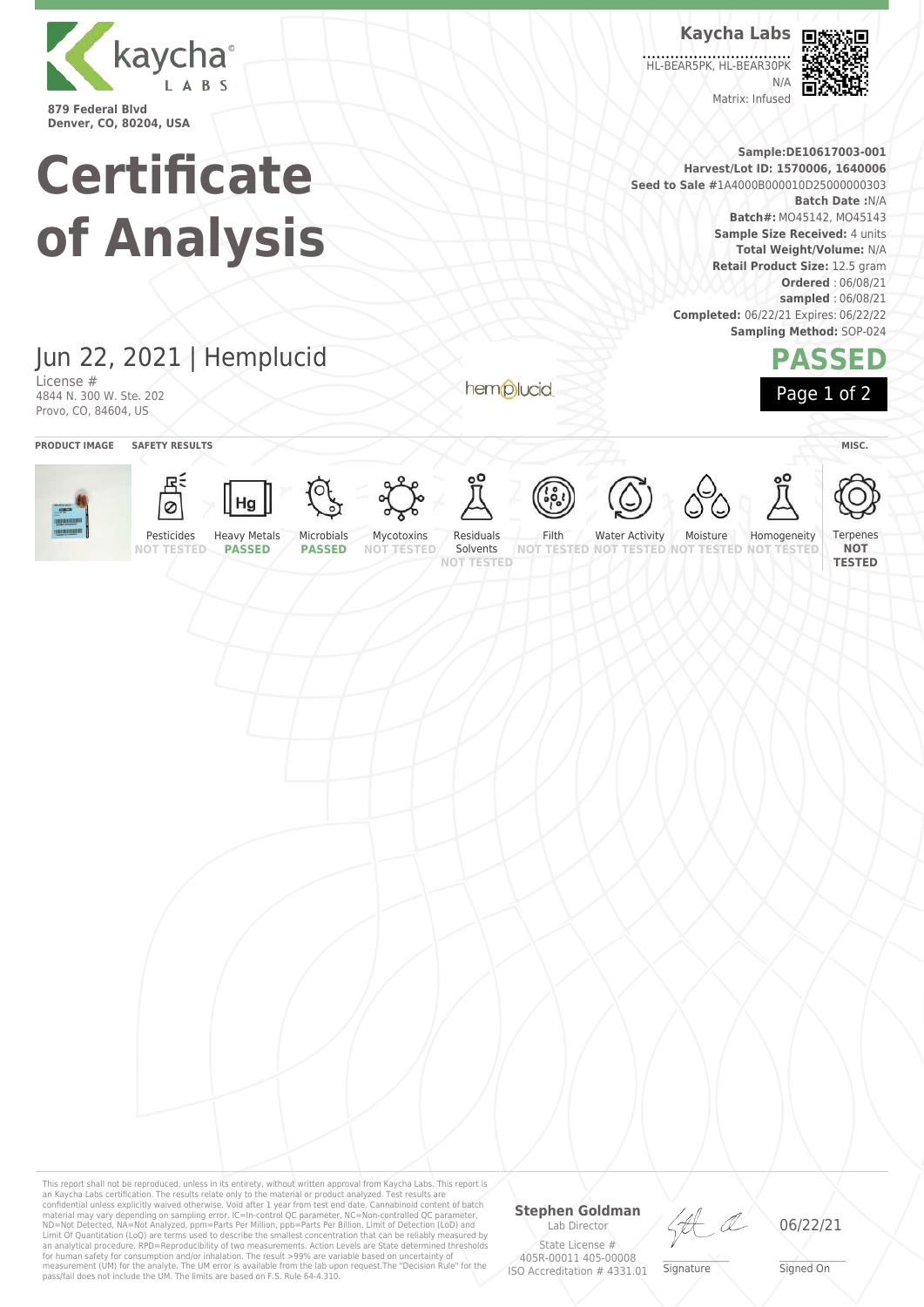

**Kaycha Labs**

HL-BEAR5PK, HL-BEAR30PK N/A

60 Пł

**PASSED**

Page 1 of 2

Matrix: Infused

**Sample:DE10617003-001 Harvest/Lot ID: 1570006, 1640006 Seed to Sale #**1A4000B000010D25000000303 **Batch Date :**N/A **Batch#:** MO45142, MO45143 **Sample Size Received:** 4 units

> **Total Weight/Volume:** N/A **Retail Product Size:** 12.5 gram **Ordered** : 06/08/21 **sampled** : 06/08/21 **Completed:** 06/22/21 Expires: 06/22/22 **Sampling Method:** SOP-024

## Jun 22, 2021 | Hemplucid

**Certificate**

**of Analysis**

License # 4844 N. 300 W. Ste. 202 Provo, CO, 84604, US

hemplucid



This report shall not be reproduced, unless in its entirety, without written approval from Kaycha Labs. This report is an Kaycha Labs certification. The results relate only to the material or product analyzed. Test results are<br>confidential unless explicitly waived otherwise. Void after 1 year from test end date. Cannabinoid content of batc an analytical procedure. RPD=Reproducibility of two measurements. Action Levels are State determined thresholds<br>for human safety for consumption and/or inhalation. The result >99% are variable based on uncertainty of<br>measu

## **Stephen Goldman** Lab Director

State License # 405R-00011 405-00008 ISO Accreditation # 4331.01

LA

\_\_\_\_\_\_\_\_\_\_\_\_\_\_\_\_\_\_\_ Signature

06/22/21

\_\_\_\_\_\_\_\_\_\_\_\_\_\_\_\_\_\_\_ Signed On